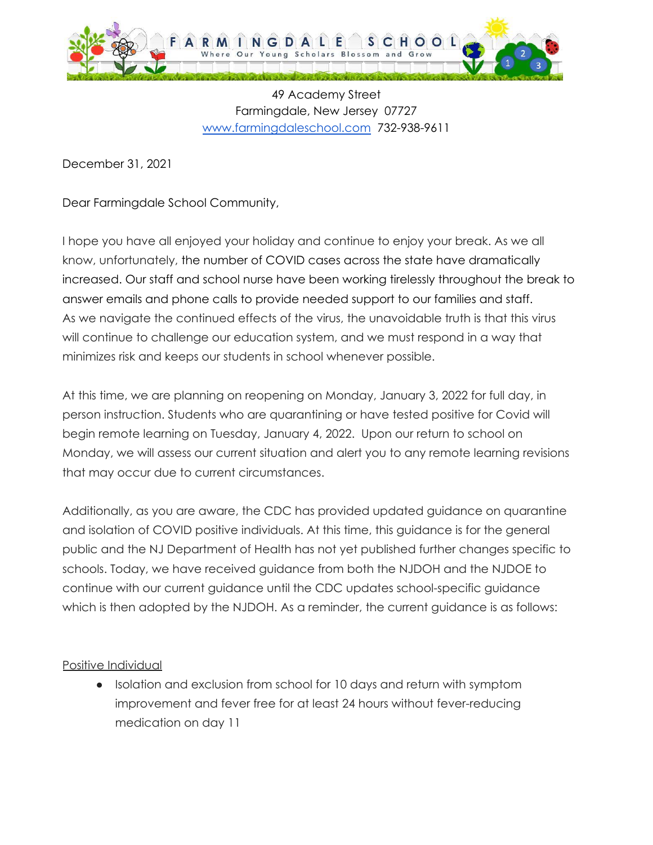

49 Academy Street Farmingdale, New Jersey 07727 [www.farmingdaleschool.com](http://www.farmingdaleschooo.com) 732-938-9611

December 31, 2021

Dear Farmingdale School Community,

I hope you have all enjoyed your holiday and continue to enjoy your break. As we all know, unfortunately, the number of COVID cases across the state have dramatically increased. Our staff and school nurse have been working tirelessly throughout the break to answer emails and phone calls to provide needed support to our families and staff. As we navigate the continued effects of the virus, the unavoidable truth is that this virus will continue to challenge our education system, and we must respond in a way that minimizes risk and keeps our students in school whenever possible.

At this time, we are planning on reopening on Monday, January 3, 2022 for full day, in person instruction. Students who are quarantining or have tested positive for Covid will begin remote learning on Tuesday, January 4, 2022. Upon our return to school on Monday, we will assess our current situation and alert you to any remote learning revisions that may occur due to current circumstances.

Additionally, as you are aware, the CDC has provided updated guidance on quarantine and isolation of COVID positive individuals. At this time, this guidance is for the general public and the NJ Department of Health has not yet published further changes specific to schools. Today, we have received guidance from both the NJDOH and the NJDOE to continue with our current guidance until the CDC updates school-specific guidance which is then adopted by the NJDOH. As a reminder, the current guidance is as follows:

Positive Individual

● Isolation and exclusion from school for 10 days and return with symptom improvement and fever free for at least 24 hours without fever-reducing medication on day 11